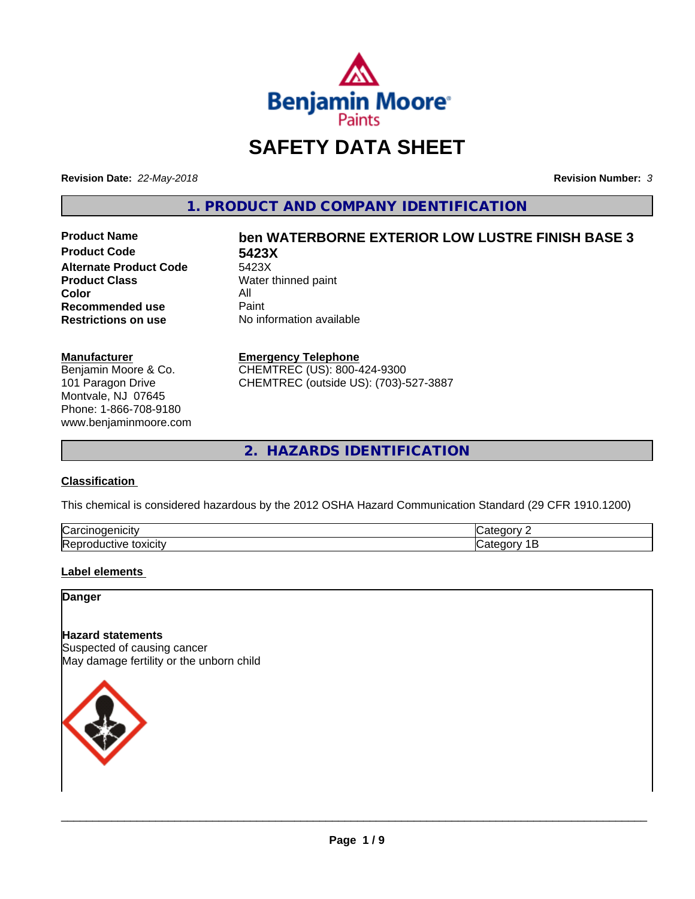

# **SAFETY DATA SHEET**

**Revision Date:** *22-May-2018* **Revision Number:** *3*

**1. PRODUCT AND COMPANY IDENTIFICATION**

**Product Code 5423X Alternate Product Code** 5423X<br>**Product Class** Water **Color** All<br> **Recommended use** Paint **Recommended use**<br>Restrictions on use

# **Product Name ben WATERBORNE EXTERIOR LOW LUSTRE FINISH BASE 3**

**Water thinned paint No information available** 

#### **Manufacturer**

Benjamin Moore & Co. 101 Paragon Drive Montvale, NJ 07645 Phone: 1-866-708-9180 www.benjaminmoore.com

#### **Emergency Telephone**

CHEMTREC (US): 800-424-9300 CHEMTREC (outside US): (703)-527-3887

**2. HAZARDS IDENTIFICATION**

#### **Classification**

This chemical is considered hazardous by the 2012 OSHA Hazard Communication Standard (29 CFR 1910.1200)

| ∽<br>/Car<br>110       | "<br>$  -$ |
|------------------------|------------|
| lRer<br>.<br>- XICIIV. | $\epsilon$ |

#### **Label elements**

**Danger**

#### **Hazard statements**

Suspected of causing cancer May damage fertility or the unborn child

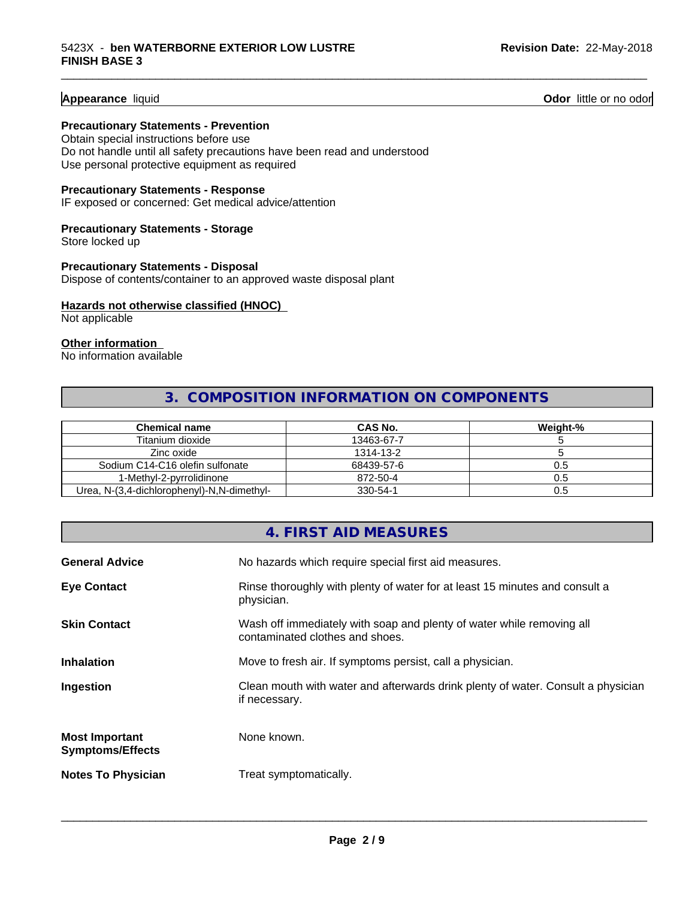**Appearance** liquid **Odor 11** Odor little or no odor

#### **Precautionary Statements - Prevention**

Obtain special instructions before use Do not handle until all safety precautions have been read and understood Use personal protective equipment as required

#### **Precautionary Statements - Response**

IF exposed or concerned: Get medical advice/attention

#### **Precautionary Statements - Storage**

Store locked up

#### **Precautionary Statements - Disposal** Dispose of contents/container to an approved waste disposal plant

#### **Hazards not otherwise classified (HNOC)**

Not applicable

#### **Other information**

No information available

#### **3. COMPOSITION INFORMATION ON COMPONENTS**

\_\_\_\_\_\_\_\_\_\_\_\_\_\_\_\_\_\_\_\_\_\_\_\_\_\_\_\_\_\_\_\_\_\_\_\_\_\_\_\_\_\_\_\_\_\_\_\_\_\_\_\_\_\_\_\_\_\_\_\_\_\_\_\_\_\_\_\_\_\_\_\_\_\_\_\_\_\_\_\_\_\_\_\_\_\_\_\_\_\_\_\_\_

| Chemical name                              | CAS No.    | Weight-% |
|--------------------------------------------|------------|----------|
| Titanium dioxide                           | 13463-67-7 |          |
| Zinc oxide                                 | 1314-13-2  |          |
| Sodium C14-C16 olefin sulfonate            | 68439-57-6 | U.O      |
| 1-Methvl-2-pvrrolidinone                   | 872-50-4   | U.5      |
| Urea, N-(3,4-dichlorophenyl)-N,N-dimethyl- | 330-54-1   | U.5      |

#### **4. FIRST AID MEASURES**

| <b>General Advice</b>                            | No hazards which require special first aid measures.                                                     |
|--------------------------------------------------|----------------------------------------------------------------------------------------------------------|
| <b>Eye Contact</b>                               | Rinse thoroughly with plenty of water for at least 15 minutes and consult a<br>physician.                |
| <b>Skin Contact</b>                              | Wash off immediately with soap and plenty of water while removing all<br>contaminated clothes and shoes. |
| <b>Inhalation</b>                                | Move to fresh air. If symptoms persist, call a physician.                                                |
| Ingestion                                        | Clean mouth with water and afterwards drink plenty of water. Consult a physician<br>if necessary.        |
| <b>Most Important</b><br><b>Symptoms/Effects</b> | None known.                                                                                              |
| <b>Notes To Physician</b>                        | Treat symptomatically.                                                                                   |
|                                                  |                                                                                                          |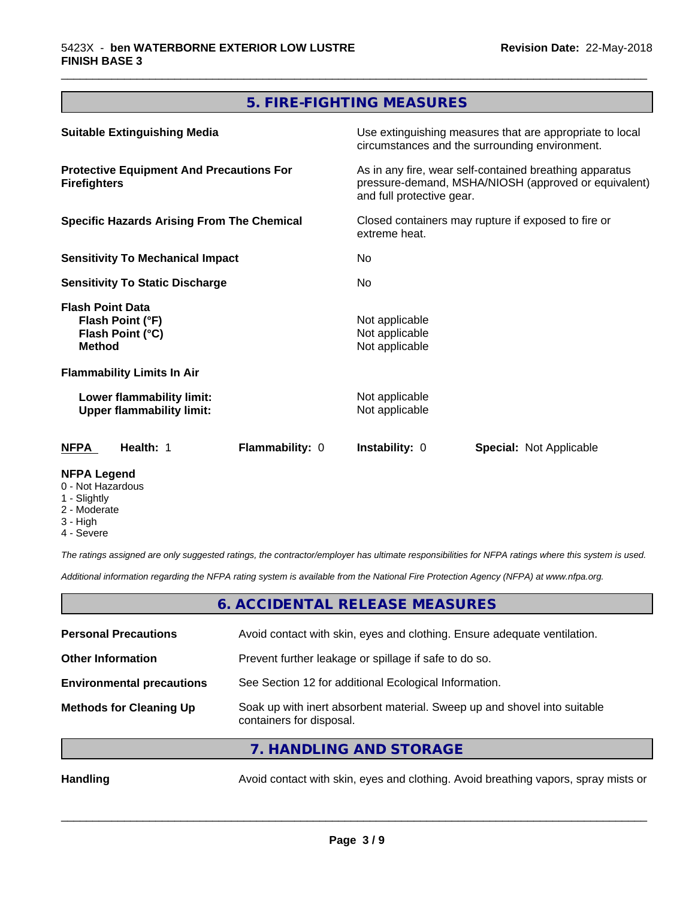## **5. FIRE-FIGHTING MEASURES**

\_\_\_\_\_\_\_\_\_\_\_\_\_\_\_\_\_\_\_\_\_\_\_\_\_\_\_\_\_\_\_\_\_\_\_\_\_\_\_\_\_\_\_\_\_\_\_\_\_\_\_\_\_\_\_\_\_\_\_\_\_\_\_\_\_\_\_\_\_\_\_\_\_\_\_\_\_\_\_\_\_\_\_\_\_\_\_\_\_\_\_\_\_

| <b>Suitable Extinguishing Media</b>                                              | Use extinguishing measures that are appropriate to local<br>circumstances and the surrounding environment.                                   |  |  |  |
|----------------------------------------------------------------------------------|----------------------------------------------------------------------------------------------------------------------------------------------|--|--|--|
| <b>Protective Equipment And Precautions For</b><br><b>Firefighters</b>           | As in any fire, wear self-contained breathing apparatus<br>pressure-demand, MSHA/NIOSH (approved or equivalent)<br>and full protective gear. |  |  |  |
| <b>Specific Hazards Arising From The Chemical</b>                                | Closed containers may rupture if exposed to fire or<br>extreme heat.                                                                         |  |  |  |
| <b>Sensitivity To Mechanical Impact</b>                                          | No.                                                                                                                                          |  |  |  |
| <b>Sensitivity To Static Discharge</b>                                           | No.                                                                                                                                          |  |  |  |
| <b>Flash Point Data</b><br>Flash Point (°F)<br>Flash Point (°C)<br><b>Method</b> | Not applicable<br>Not applicable<br>Not applicable                                                                                           |  |  |  |
| <b>Flammability Limits In Air</b>                                                |                                                                                                                                              |  |  |  |
| Lower flammability limit:<br><b>Upper flammability limit:</b>                    | Not applicable<br>Not applicable                                                                                                             |  |  |  |
| Health: 1<br>Flammability: 0<br>NFPA                                             | <b>Instability: 0</b><br><b>Special: Not Applicable</b>                                                                                      |  |  |  |
| <b>NFPA Legend</b>                                                               |                                                                                                                                              |  |  |  |

- 0 Not Hazardous
- 1 Slightly
- 2 Moderate
- 3 High
- 4 Severe

*The ratings assigned are only suggested ratings, the contractor/employer has ultimate responsibilities for NFPA ratings where this system is used.*

*Additional information regarding the NFPA rating system is available from the National Fire Protection Agency (NFPA) at www.nfpa.org.*

#### **6. ACCIDENTAL RELEASE MEASURES**

| <b>Personal Precautions</b>      | Avoid contact with skin, eyes and clothing. Ensure adequate ventilation.                             |
|----------------------------------|------------------------------------------------------------------------------------------------------|
| <b>Other Information</b>         | Prevent further leakage or spillage if safe to do so.                                                |
| <b>Environmental precautions</b> | See Section 12 for additional Ecological Information.                                                |
| <b>Methods for Cleaning Up</b>   | Soak up with inert absorbent material. Sweep up and shovel into suitable<br>containers for disposal. |
|                                  | $\overline{z}$ in the start into $\overline{z}$                                                      |

**7. HANDLING AND STORAGE**

Handling **Handling** Avoid contact with skin, eyes and clothing. Avoid breathing vapors, spray mists or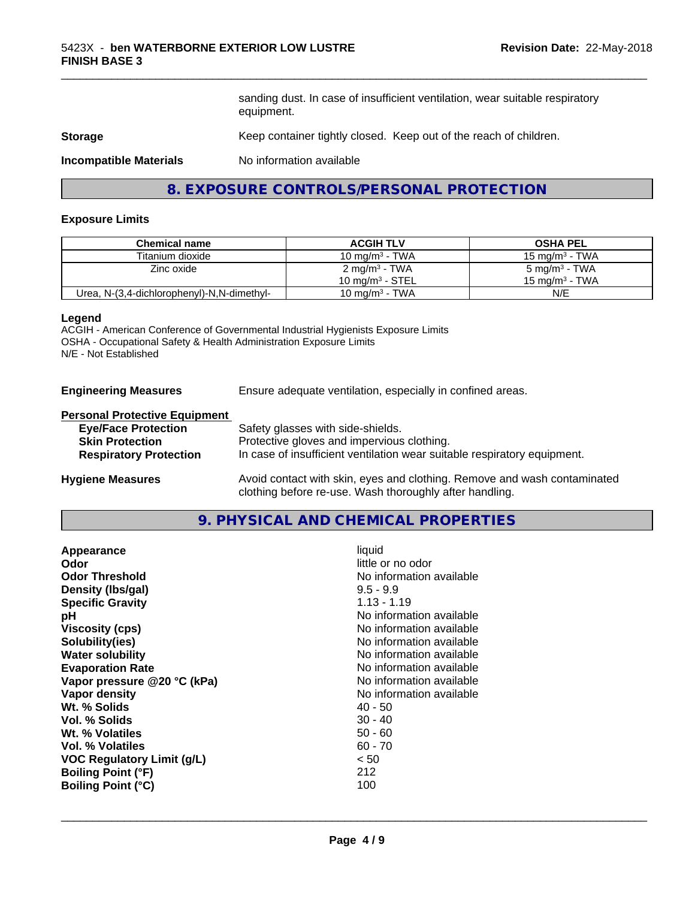sanding dust. In case of insufficient ventilation, wear suitable respiratory equipment.

\_\_\_\_\_\_\_\_\_\_\_\_\_\_\_\_\_\_\_\_\_\_\_\_\_\_\_\_\_\_\_\_\_\_\_\_\_\_\_\_\_\_\_\_\_\_\_\_\_\_\_\_\_\_\_\_\_\_\_\_\_\_\_\_\_\_\_\_\_\_\_\_\_\_\_\_\_\_\_\_\_\_\_\_\_\_\_\_\_\_\_\_\_

#### **Storage** Keep container tightly closed. Keep out of the reach of children.

**Incompatible Materials** No information available

#### **8. EXPOSURE CONTROLS/PERSONAL PROTECTION**

#### **Exposure Limits**

| <b>Chemical name</b>                       | <b>ACGIH TLV</b>            | <b>OSHA PEL</b>           |
|--------------------------------------------|-----------------------------|---------------------------|
| Titanium dioxide                           | 10 mg/m $3$ - TWA           | $15 \text{ ma/m}^3$ - TWA |
| Zinc oxide                                 | 2 mg/m <sup>3</sup> - TWA   | 5 mg/m <sup>3</sup> - TWA |
|                                            | 10 mg/m <sup>3</sup> - STEL | 15 mg/m $3$ - TWA         |
| Urea, N-(3,4-dichlorophenyl)-N,N-dimethyl- | 10 mg/m <sup>3</sup> - TWA  | N/E                       |

#### **Legend**

ACGIH - American Conference of Governmental Industrial Hygienists Exposure Limits OSHA - Occupational Safety & Health Administration Exposure Limits N/E - Not Established

**Engineering Measures** Ensure adequate ventilation, especially in confined areas.

#### **Personal Protective Equipment**

| <b>Eye/Face Protection</b>    | Safety glasses with side-shields.                                        |
|-------------------------------|--------------------------------------------------------------------------|
| <b>Skin Protection</b>        | Protective gloves and impervious clothing.                               |
| <b>Respiratory Protection</b> | In case of insufficient ventilation wear suitable respiratory equipment. |
| <b>Hygiene Measures</b>       | Avoid contact with skin, eyes and clothing. Remove and wash contaminated |

clothing before re-use. Wash thoroughly after handling.

#### **9. PHYSICAL AND CHEMICAL PROPERTIES**

| little or no odor<br>No information available<br>$9.5 - 9.9$<br>$1.13 - 1.19$<br>No information available<br>No information available<br>No information available<br>No information available<br>No information available<br>No information available<br>No information available |
|-----------------------------------------------------------------------------------------------------------------------------------------------------------------------------------------------------------------------------------------------------------------------------------|
|                                                                                                                                                                                                                                                                                   |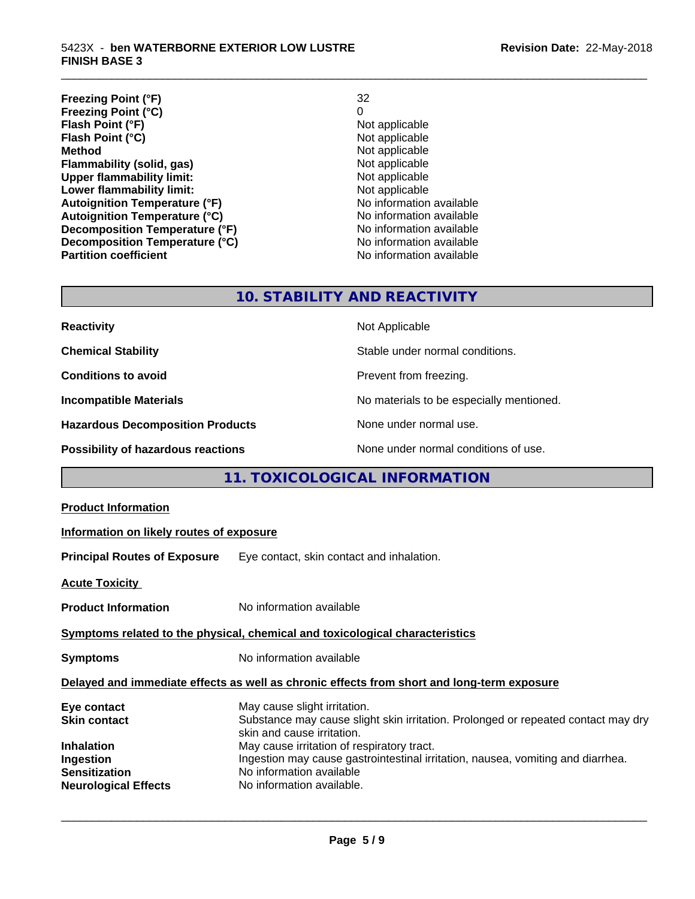**Freezing Point (°F)** 32 **Freezing Point (°C)** 0 **Flash Point (°F)**<br> **Flash Point (°C)**<br> **Flash Point (°C)**<br> **C Flash Point (°C)**<br>Method **Flammability (solid, gas)**<br> **Upper flammability limit:**<br>
Upper flammability limit:<br>  $\begin{array}{ccc}\n\bullet & \bullet & \bullet \\
\bullet & \bullet & \bullet\n\end{array}$  Not applicable **Upper flammability limit:**<br> **Lower flammability limit:**<br>
Not applicable<br>
Not applicable **Lower flammability limit:**<br> **Autoignition Temperature (°F)**<br>
Mo information available **Autoignition Temperature (°F)**<br> **Autoignition Temperature (°C)** No information available Autoignition Temperature (°C)<br>
Decomposition Temperature (°F)<br>
No information available **Decomposition Temperature (°F) Decomposition Temperature (°C)** No information available **Partition coefficient Contract Community No information available** 

**Not applicable**<br>Not applicable

\_\_\_\_\_\_\_\_\_\_\_\_\_\_\_\_\_\_\_\_\_\_\_\_\_\_\_\_\_\_\_\_\_\_\_\_\_\_\_\_\_\_\_\_\_\_\_\_\_\_\_\_\_\_\_\_\_\_\_\_\_\_\_\_\_\_\_\_\_\_\_\_\_\_\_\_\_\_\_\_\_\_\_\_\_\_\_\_\_\_\_\_\_

## **10. STABILITY AND REACTIVITY**

| <b>Reactivity</b>                         | Not Applicable                           |
|-------------------------------------------|------------------------------------------|
| <b>Chemical Stability</b>                 | Stable under normal conditions.          |
| <b>Conditions to avoid</b>                | Prevent from freezing.                   |
| <b>Incompatible Materials</b>             | No materials to be especially mentioned. |
| <b>Hazardous Decomposition Products</b>   | None under normal use.                   |
| <b>Possibility of hazardous reactions</b> | None under normal conditions of use.     |

#### **11. TOXICOLOGICAL INFORMATION**

| <b>Product Information</b>                                                                                                  |                                                                                                                                                                                                                                                                                                                                           |
|-----------------------------------------------------------------------------------------------------------------------------|-------------------------------------------------------------------------------------------------------------------------------------------------------------------------------------------------------------------------------------------------------------------------------------------------------------------------------------------|
| Information on likely routes of exposure                                                                                    |                                                                                                                                                                                                                                                                                                                                           |
|                                                                                                                             | <b>Principal Routes of Exposure</b> Eye contact, skin contact and inhalation.                                                                                                                                                                                                                                                             |
| <b>Acute Toxicity</b>                                                                                                       |                                                                                                                                                                                                                                                                                                                                           |
| <b>Product Information</b>                                                                                                  | No information available                                                                                                                                                                                                                                                                                                                  |
|                                                                                                                             | Symptoms related to the physical, chemical and toxicological characteristics                                                                                                                                                                                                                                                              |
| <b>Symptoms</b>                                                                                                             | No information available                                                                                                                                                                                                                                                                                                                  |
|                                                                                                                             | Delayed and immediate effects as well as chronic effects from short and long-term exposure                                                                                                                                                                                                                                                |
| Eye contact<br><b>Skin contact</b><br><b>Inhalation</b><br>Ingestion<br><b>Sensitization</b><br><b>Neurological Effects</b> | May cause slight irritation.<br>Substance may cause slight skin irritation. Prolonged or repeated contact may dry<br>skin and cause irritation.<br>May cause irritation of respiratory tract.<br>Ingestion may cause gastrointestinal irritation, nausea, vomiting and diarrhea.<br>No information available<br>No information available. |
|                                                                                                                             |                                                                                                                                                                                                                                                                                                                                           |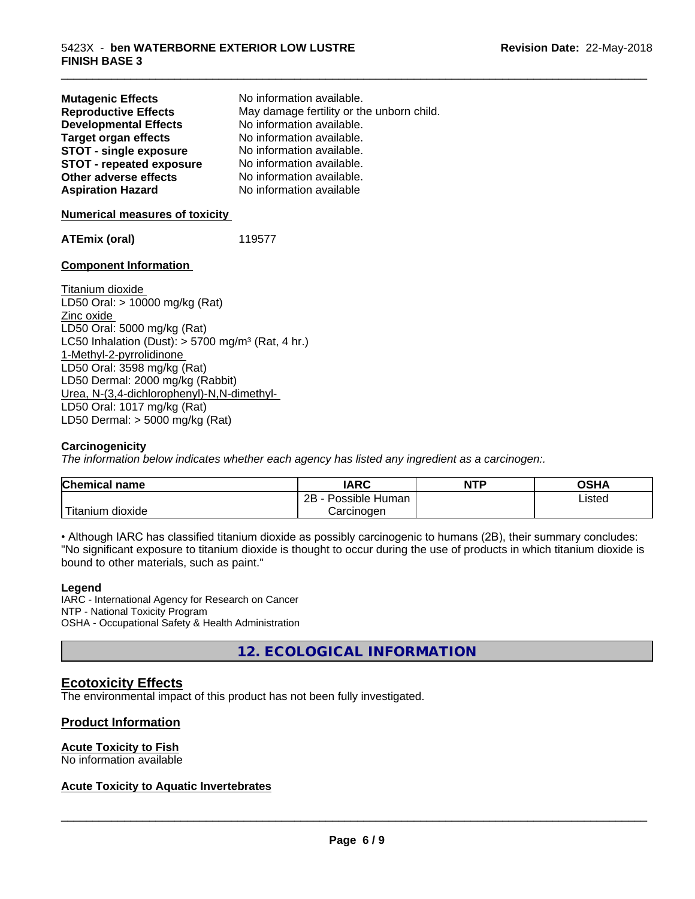| <b>Mutagenic Effects</b><br><b>Reproductive Effects</b><br><b>Developmental Effects</b><br><b>Target organ effects</b><br><b>STOT - single exposure</b><br><b>STOT - repeated exposure</b><br>Other adverse effects<br><b>Aspiration Hazard</b><br><b>Numerical measures of toxicity</b> | No information available.<br>May damage fertility or the unborn child.<br>No information available.<br>No information available.<br>No information available.<br>No information available.<br>No information available.<br>No information available |
|------------------------------------------------------------------------------------------------------------------------------------------------------------------------------------------------------------------------------------------------------------------------------------------|-----------------------------------------------------------------------------------------------------------------------------------------------------------------------------------------------------------------------------------------------------|
| <b>ATEmix (oral)</b>                                                                                                                                                                                                                                                                     | 119577                                                                                                                                                                                                                                              |
| <b>Component Information</b>                                                                                                                                                                                                                                                             |                                                                                                                                                                                                                                                     |
| Titanium dioxide<br>LD50 Oral: $> 10000$ mg/kg (Rat)<br>Zinc oxide<br>LD50 Oral: 5000 mg/kg (Rat)                                                                                                                                                                                        |                                                                                                                                                                                                                                                     |

LC50 Inhalation (Dust):  $> 5700$  mg/m<sup>3</sup> (Rat, 4 hr.) 1-Methyl-2-pyrrolidinone LD50 Oral: 3598 mg/kg (Rat) LD50 Dermal: 2000 mg/kg (Rabbit) Urea, N-(3,4-dichlorophenyl)-N,N-dimethyl- LD50 Oral: 1017 mg/kg (Rat) LD50 Dermal: > 5000 mg/kg (Rat)

#### **Carcinogenicity**

*The information below indicateswhether each agency has listed any ingredient as a carcinogen:.*

| <b>Chemical</b><br>name | <b>IARC</b>                    | <b>NTP</b> | OSHA   |
|-------------------------|--------------------------------|------------|--------|
|                         | .<br>2B<br>Possible<br>· Human |            | Listed |
| n dioxide<br>l itanıum  | Carcinoɑen                     |            |        |

\_\_\_\_\_\_\_\_\_\_\_\_\_\_\_\_\_\_\_\_\_\_\_\_\_\_\_\_\_\_\_\_\_\_\_\_\_\_\_\_\_\_\_\_\_\_\_\_\_\_\_\_\_\_\_\_\_\_\_\_\_\_\_\_\_\_\_\_\_\_\_\_\_\_\_\_\_\_\_\_\_\_\_\_\_\_\_\_\_\_\_\_\_

• Although IARC has classified titanium dioxide as possibly carcinogenic to humans (2B), their summary concludes: "No significant exposure to titanium dioxide is thought to occur during the use of products in which titanium dioxide is bound to other materials, such as paint."

#### **Legend**

IARC - International Agency for Research on Cancer NTP - National Toxicity Program OSHA - Occupational Safety & Health Administration

**12. ECOLOGICAL INFORMATION**

#### **Ecotoxicity Effects**

The environmental impact of this product has not been fully investigated.

#### **Product Information**

#### **Acute Toxicity to Fish**

No information available

#### **Acute Toxicity to Aquatic Invertebrates**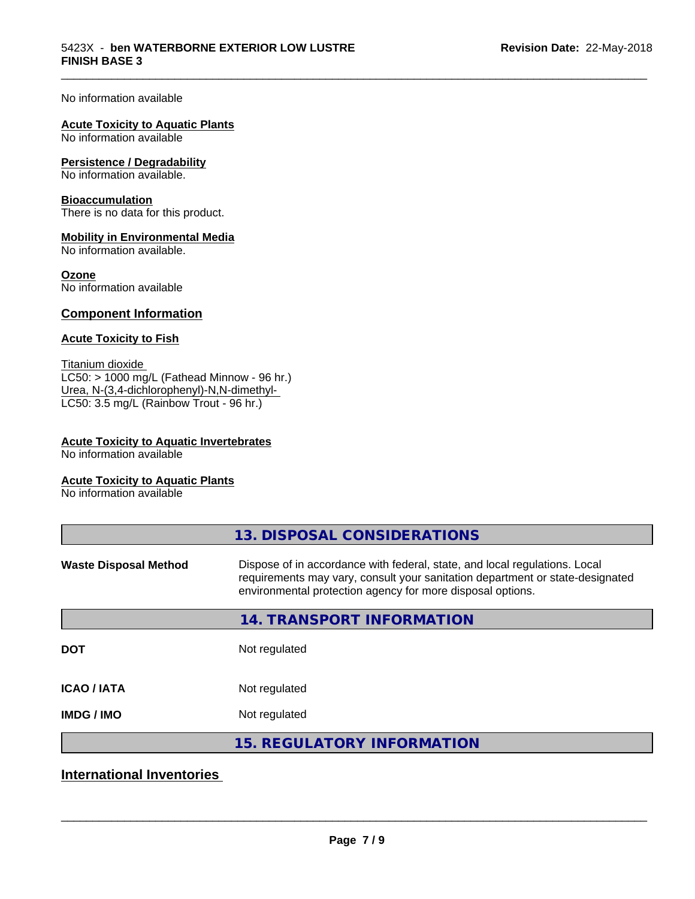\_\_\_\_\_\_\_\_\_\_\_\_\_\_\_\_\_\_\_\_\_\_\_\_\_\_\_\_\_\_\_\_\_\_\_\_\_\_\_\_\_\_\_\_\_\_\_\_\_\_\_\_\_\_\_\_\_\_\_\_\_\_\_\_\_\_\_\_\_\_\_\_\_\_\_\_\_\_\_\_\_\_\_\_\_\_\_\_\_\_\_\_\_

No information available

#### **Acute Toxicity to Aquatic Plants**

No information available

#### **Persistence / Degradability**

No information available.

#### **Bioaccumulation**

There is no data for this product.

#### **Mobility in Environmental Media**

No information available.

#### **Ozone**

No information available

#### **Component Information**

#### **Acute Toxicity to Fish**

Titanium dioxide  $LC50:$  > 1000 mg/L (Fathead Minnow - 96 hr.) Urea, N-(3,4-dichlorophenyl)-N,N-dimethyl- LC50: 3.5 mg/L (Rainbow Trout - 96 hr.)

#### **Acute Toxicity to Aquatic Invertebrates**

No information available

#### **Acute Toxicity to Aquatic Plants**

No information available

|                              | 13. DISPOSAL CONSIDERATIONS                                                                                                                                                                                               |
|------------------------------|---------------------------------------------------------------------------------------------------------------------------------------------------------------------------------------------------------------------------|
| <b>Waste Disposal Method</b> | Dispose of in accordance with federal, state, and local regulations. Local<br>requirements may vary, consult your sanitation department or state-designated<br>environmental protection agency for more disposal options. |
|                              | 14. TRANSPORT INFORMATION                                                                                                                                                                                                 |
| <b>DOT</b>                   | Not regulated                                                                                                                                                                                                             |
| <b>ICAO/IATA</b>             | Not regulated                                                                                                                                                                                                             |
| <b>IMDG/IMO</b>              | Not regulated                                                                                                                                                                                                             |
|                              | 15. REGULATORY INFORMATION                                                                                                                                                                                                |

## **International Inventories**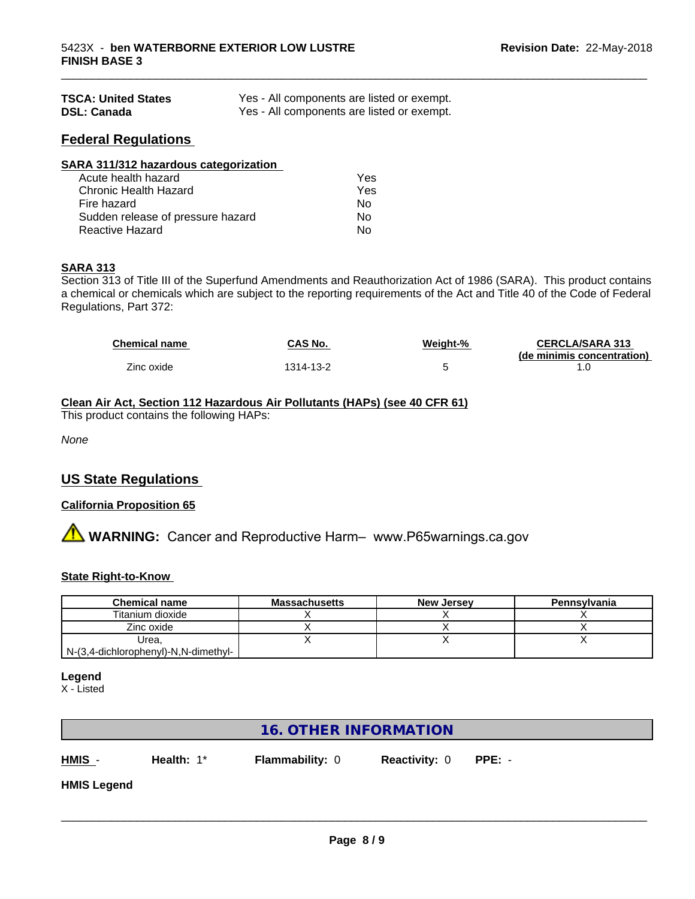| <b>TSCA: United States</b> | Yes - All components are listed or exempt. |
|----------------------------|--------------------------------------------|
| <b>DSL: Canada</b>         | Yes - All components are listed or exempt. |

#### **Federal Regulations**

| SARA 311/312 hazardous categorization |     |  |
|---------------------------------------|-----|--|
| Acute health hazard                   | Yes |  |
| Chronic Health Hazard                 | Yes |  |
| Fire hazard                           | Nο  |  |
| Sudden release of pressure hazard     | No  |  |
| Reactive Hazard                       | No  |  |

#### **SARA 313**

Section 313 of Title III of the Superfund Amendments and Reauthorization Act of 1986 (SARA). This product contains a chemical or chemicals which are subject to the reporting requirements of the Act and Title 40 of the Code of Federal Regulations, Part 372:

| <b>Chemical name</b> | <b>CAS No.</b> | Weiaht-% | <b>CERCLA/SARA 313</b>     |
|----------------------|----------------|----------|----------------------------|
|                      |                |          | (de minimis concentration) |
| Zinc oxide           | 1314-13-2      |          |                            |

\_\_\_\_\_\_\_\_\_\_\_\_\_\_\_\_\_\_\_\_\_\_\_\_\_\_\_\_\_\_\_\_\_\_\_\_\_\_\_\_\_\_\_\_\_\_\_\_\_\_\_\_\_\_\_\_\_\_\_\_\_\_\_\_\_\_\_\_\_\_\_\_\_\_\_\_\_\_\_\_\_\_\_\_\_\_\_\_\_\_\_\_\_

#### **Clean Air Act,Section 112 Hazardous Air Pollutants (HAPs) (see 40 CFR 61)**

This product contains the following HAPs:

*None*

#### **US State Regulations**

#### **California Proposition 65**

# **A** WARNING: Cancer and Reproductive Harm– www.P65warnings.ca.gov

#### **State Right-to-Know**

| <b>Chemical name</b>                 | <b>Massachusetts</b> | <b>New Jersey</b> | Pennsylvania |
|--------------------------------------|----------------------|-------------------|--------------|
| Titanium dioxide                     |                      |                   |              |
| Zinc oxide                           |                      |                   |              |
| Urea.                                |                      |                   |              |
| N-(3,4-dichlorophenyl)-N,N-dimethyl- |                      |                   |              |

#### **Legend**

X - Listed

| <b>16. OTHER INFORMATION</b> |            |                        |                      |          |  |
|------------------------------|------------|------------------------|----------------------|----------|--|
| HMIS <sub>-</sub>            | Health: 1* | <b>Flammability: 0</b> | <b>Reactivity: 0</b> | $PPE: -$ |  |
| <b>HMIS Legend</b>           |            |                        |                      |          |  |
|                              |            |                        |                      |          |  |